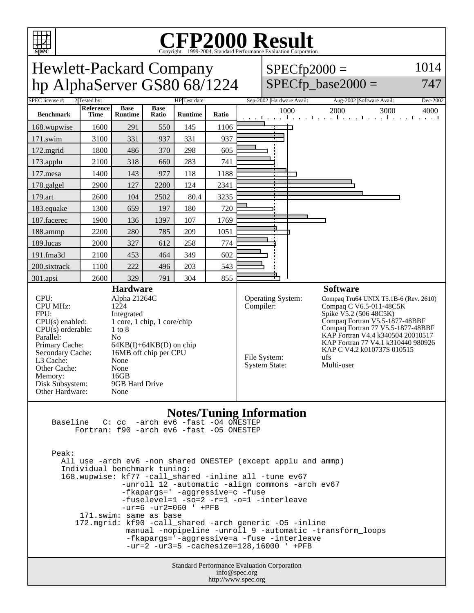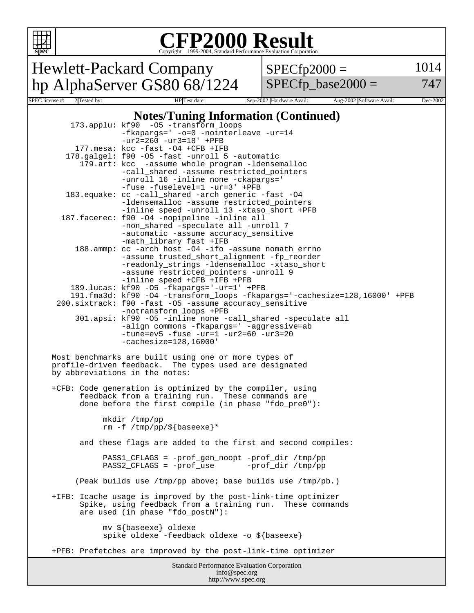

## **CFP2000 Result** Copyright 1999-2004, Standard Performance Evaluation Corporation

Hewlett-Packard Company hp AlphaServer GS80 68/1224  $SPECfp2000 =$ 

 $SPECfp\_base2000 =$ 

1014

747

## Standard Performance Evaluation Corporation info@spec.org SPEC license #: 2 Tested by: HP Test date: Sep-2002 Hardware Avail: Aug-2002 Software Avail: Dec-2002 **Notes/Tuning Information (Continued)** 173.applu: kf90 -O5 -transform\_loops -fkapargs=' -o=0 -nointerleave -ur=14 -ur2=260 -ur3=18' +PFB 177.mesa: kcc -fast -O4 +CFB +IFB 178.galgel: f90 -O5 -fast -unroll 5 -automatic 179.art: kcc -assume whole\_program -ldensemalloc -call\_shared -assume restricted\_pointers -unroll 16 -inline none -ckapargs=' -fuse -fuselevel=1 -ur=3' +PFB 183.equake: cc -call\_shared -arch generic -fast -O4 -ldensemalloc -assume restricted\_pointers -inline speed -unroll 13 -xtaso\_short +PFB 187.facerec: f90 -O4 -nopipeline -inline all -non\_shared -speculate all -unroll 7 -automatic -assume accuracy\_sensitive -math\_library fast +IFB 188.ammp: cc -arch host -O4 -ifo -assume nomath\_errno -assume trusted\_short\_alignment -fp\_reorder -readonly\_strings -ldensemalloc -xtaso\_short -assume restricted\_pointers -unroll 9 -inline speed +CFB +IFB +PFB 189.lucas: kf90 -O5 -fkapargs='-ur=1' +PFB 191.fma3d: kf90 -O4 -transform\_loops -fkapargs='-cachesize=128,16000' +PFB 200.sixtrack: f90 -fast -O5 -assume accuracy\_sensitive -notransform\_loops +PFB 301.apsi: kf90 -O5 -inline none -call\_shared -speculate all -align commons -fkapargs=' -aggressive=ab -tune=ev5 -fuse -ur=1 -ur2=60 -ur3=20 -cachesize=128,16000' Most benchmarks are built using one or more types of profile-driven feedback. The types used are designated by abbreviations in the notes: +CFB: Code generation is optimized by the compiler, using feedback from a training run. These commands are done before the first compile (in phase "fdo\_pre0"): mkdir /tmp/pp rm -f /tmp/pp/\${baseexe}\* and these flags are added to the first and second compiles: PASS1\_CFLAGS = -prof\_gen\_noopt -prof\_dir /tmp/pp PASS2\_CFLAGS = -prof\_use -prof\_dir /tmp/pp (Peak builds use /tmp/pp above; base builds use /tmp/pb.) +IFB: Icache usage is improved by the post-link-time optimizer Spike, using feedback from a training run. These commands are used (in phase "fdo\_postN"): mv \${baseexe} oldexe spike oldexe -feedback oldexe -o \${baseexe} +PFB: Prefetches are improved by the post-link-time optimizer

http://www.spec.org